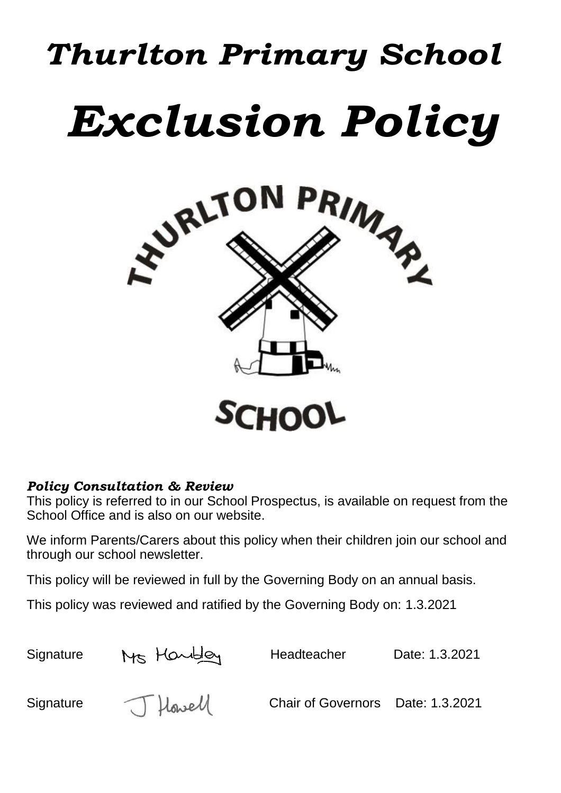# *Thurlton Primary School Exclusion Policy*



## *Policy Consultation & Review*

This policy is referred to in our School Prospectus, is available on request from the School Office and is also on our website.

We inform Parents/Carers about this policy when their children join our school and through our school newsletter.

This policy will be reviewed in full by the Governing Body on an annual basis.

This policy was reviewed and ratified by the Governing Body on: 1.3.2021

| Signature | Ms Handley | Headteacher                       | Date: 1.3.2021 |
|-----------|------------|-----------------------------------|----------------|
| Signature | J Howell   | Chair of Governors Date: 1.3.2021 |                |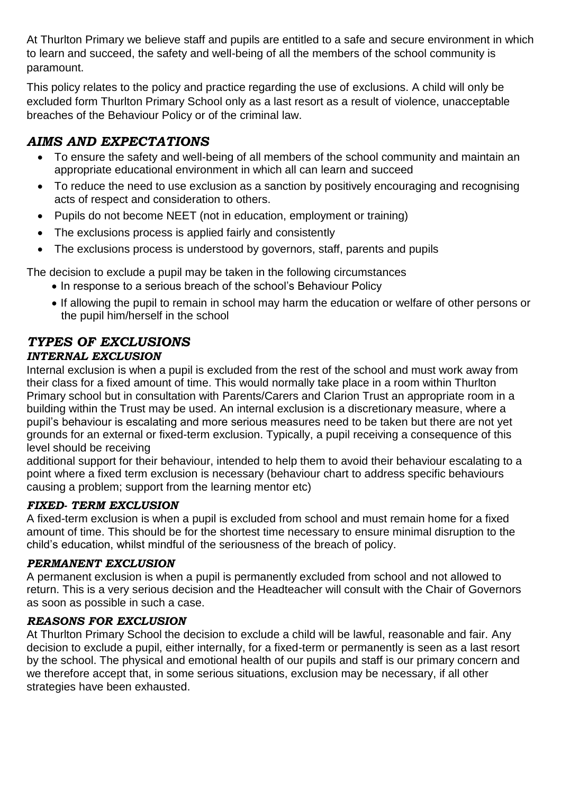At Thurlton Primary we believe staff and pupils are entitled to a safe and secure environment in which to learn and succeed, the safety and well-being of all the members of the school community is paramount.

This policy relates to the policy and practice regarding the use of exclusions. A child will only be excluded form Thurlton Primary School only as a last resort as a result of violence, unacceptable breaches of the Behaviour Policy or of the criminal law.

# *AIMS AND EXPECTATIONS*

- To ensure the safety and well-being of all members of the school community and maintain an appropriate educational environment in which all can learn and succeed
- To reduce the need to use exclusion as a sanction by positively encouraging and recognising acts of respect and consideration to others.
- Pupils do not become NEET (not in education, employment or training)
- The exclusions process is applied fairly and consistently
- The exclusions process is understood by governors, staff, parents and pupils

The decision to exclude a pupil may be taken in the following circumstances

- In response to a serious breach of the school's Behaviour Policy
- If allowing the pupil to remain in school may harm the education or welfare of other persons or the pupil him/herself in the school

#### *TYPES OF EXCLUSIONS INTERNAL EXCLUSION*

Internal exclusion is when a pupil is excluded from the rest of the school and must work away from their class for a fixed amount of time. This would normally take place in a room within Thurlton Primary school but in consultation with Parents/Carers and Clarion Trust an appropriate room in a building within the Trust may be used. An internal exclusion is a discretionary measure, where a pupil's behaviour is escalating and more serious measures need to be taken but there are not yet grounds for an external or fixed-term exclusion. Typically, a pupil receiving a consequence of this level should be receiving

additional support for their behaviour, intended to help them to avoid their behaviour escalating to a point where a fixed term exclusion is necessary (behaviour chart to address specific behaviours causing a problem; support from the learning mentor etc)

#### *FIXED- TERM EXCLUSION*

A fixed-term exclusion is when a pupil is excluded from school and must remain home for a fixed amount of time. This should be for the shortest time necessary to ensure minimal disruption to the child's education, whilst mindful of the seriousness of the breach of policy.

#### *PERMANENT EXCLUSION*

A permanent exclusion is when a pupil is permanently excluded from school and not allowed to return. This is a very serious decision and the Headteacher will consult with the Chair of Governors as soon as possible in such a case.

#### *REASONS FOR EXCLUSION*

At Thurlton Primary School the decision to exclude a child will be lawful, reasonable and fair. Any decision to exclude a pupil, either internally, for a fixed-term or permanently is seen as a last resort by the school. The physical and emotional health of our pupils and staff is our primary concern and we therefore accept that, in some serious situations, exclusion may be necessary, if all other strategies have been exhausted.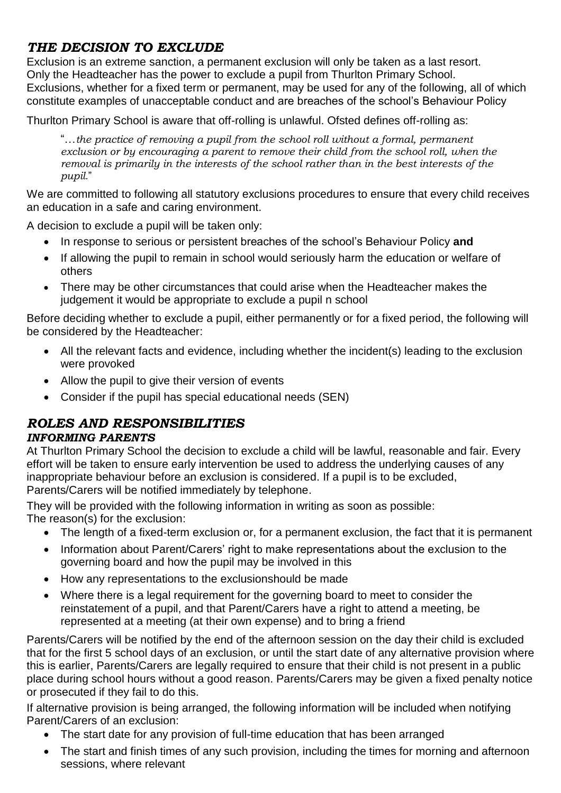# *THE DECISION TO EXCLUDE*

Exclusion is an extreme sanction, a permanent exclusion will only be taken as a last resort. Only the Headteacher has the power to exclude a pupil from Thurlton Primary School. Exclusions, whether for a fixed term or permanent, may be used for any of the following, all of which constitute examples of unacceptable conduct and are breaches of the school's Behaviour Policy

Thurlton Primary School is aware that off-rolling is unlawful. Ofsted defines off-rolling as:

"…*the practice of removing a pupil from the school roll without a formal, permanent exclusion or by encouraging a parent to remove their child from the school roll, when the removal is primarily in the interests of the school rather than in the best interests of the pupil.*"

We are committed to following all statutory exclusions procedures to ensure that every child receives an education in a safe and caring environment.

A decision to exclude a pupil will be taken only:

- In response to serious or persistent breaches of the school's Behaviour Policy **and**
- If allowing the pupil to remain in school would seriously harm the education or welfare of others
- There may be other circumstances that could arise when the Headteacher makes the judgement it would be appropriate to exclude a pupil n school

Before deciding whether to exclude a pupil, either permanently or for a fixed period, the following will be considered by the Headteacher:

- All the relevant facts and evidence, including whether the incident(s) leading to the exclusion were provoked
- Allow the pupil to give their version of events
- Consider if the pupil has special educational needs (SEN)

## *ROLES AND RESPONSIBILITIES*

#### *INFORMING PARENTS*

At Thurlton Primary School the decision to exclude a child will be lawful, reasonable and fair. Every effort will be taken to ensure early intervention be used to address the underlying causes of any inappropriate behaviour before an exclusion is considered. If a pupil is to be excluded, Parents/Carers will be notified immediately by telephone.

They will be provided with the following information in writing as soon as possible: The reason(s) for the exclusion:

- The length of a fixed-term exclusion or, for a permanent exclusion, the fact that it is permanent
- Information about Parent/Carers' right to make representations about the exclusion to the governing board and how the pupil may be involved in this
- How any representations to the exclusionshould be made
- Where there is a legal requirement for the governing board to meet to consider the reinstatement of a pupil, and that Parent/Carers have a right to attend a meeting, be represented at a meeting (at their own expense) and to bring a friend

Parents/Carers will be notified by the end of the afternoon session on the day their child is excluded that for the first 5 school days of an exclusion, or until the start date of any alternative provision where this is earlier, Parents/Carers are legally required to ensure that their child is not present in a public place during school hours without a good reason. Parents/Carers may be given a fixed penalty notice or prosecuted if they fail to do this.

If alternative provision is being arranged, the following information will be included when notifying Parent/Carers of an exclusion:

- The start date for any provision of full-time education that has been arranged
- The start and finish times of any such provision, including the times for morning and afternoon sessions, where relevant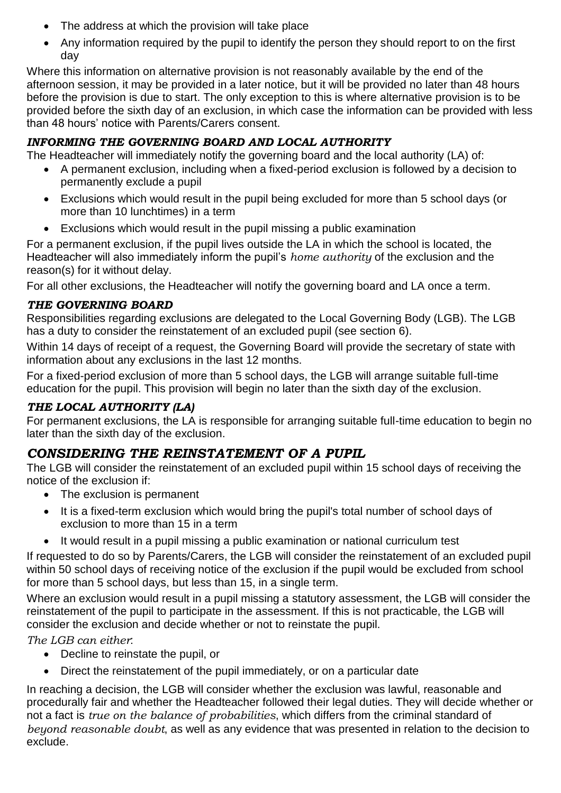- The address at which the provision will take place
- Any information required by the pupil to identify the person they should report to on the first day

Where this information on alternative provision is not reasonably available by the end of the afternoon session, it may be provided in a later notice, but it will be provided no later than 48 hours before the provision is due to start. The only exception to this is where alternative provision is to be provided before the sixth day of an exclusion, in which case the information can be provided with less than 48 hours' notice with Parents/Carers consent.

## *INFORMING THE GOVERNING BOARD AND LOCAL AUTHORITY*

The Headteacher will immediately notify the governing board and the local authority (LA) of:

- A permanent exclusion, including when a fixed-period exclusion is followed by a decision to permanently exclude a pupil
- Exclusions which would result in the pupil being excluded for more than 5 school days (or more than 10 lunchtimes) in a term
- Exclusions which would result in the pupil missing a public examination

For a permanent exclusion, if the pupil lives outside the LA in which the school is located, the Headteacher will also immediately inform the pupil's *home authority* of the exclusion and the reason(s) for it without delay.

For all other exclusions, the Headteacher will notify the governing board and LA once a term.

#### *THE GOVERNING BOARD*

Responsibilities regarding exclusions are delegated to the Local Governing Body (LGB). The LGB has a duty to consider the reinstatement of an excluded pupil (see section 6).

Within 14 days of receipt of a request, the Governing Board will provide the secretary of state with information about any exclusions in the last 12 months.

For a fixed-period exclusion of more than 5 school days, the LGB will arrange suitable full-time education for the pupil. This provision will begin no later than the sixth day of the exclusion.

#### *THE LOCAL AUTHORITY (LA)*

For permanent exclusions, the LA is responsible for arranging suitable full-time education to begin no later than the sixth day of the exclusion.

# *CONSIDERING THE REINSTATEMENT OF A PUPIL*

The LGB will consider the reinstatement of an excluded pupil within 15 school days of receiving the notice of the exclusion if:

- The exclusion is permanent
- It is a fixed-term exclusion which would bring the pupil's total number of school days of exclusion to more than 15 in a term
- It would result in a pupil missing a public examination or national curriculum test

If requested to do so by Parents/Carers, the LGB will consider the reinstatement of an excluded pupil within 50 school days of receiving notice of the exclusion if the pupil would be excluded from school for more than 5 school days, but less than 15, in a single term.

Where an exclusion would result in a pupil missing a statutory assessment, the LGB will consider the reinstatement of the pupil to participate in the assessment. If this is not practicable, the LGB will consider the exclusion and decide whether or not to reinstate the pupil.

*The LGB can either*:

- Decline to reinstate the pupil, or
- Direct the reinstatement of the pupil immediately, or on a particular date

In reaching a decision, the LGB will consider whether the exclusion was lawful, reasonable and procedurally fair and whether the Headteacher followed their legal duties. They will decide whether or not a fact is *true on the balance of probabilities*, which differs from the criminal standard of *beyond reasonable doubt*, as well as any evidence that was presented in relation to the decision to exclude.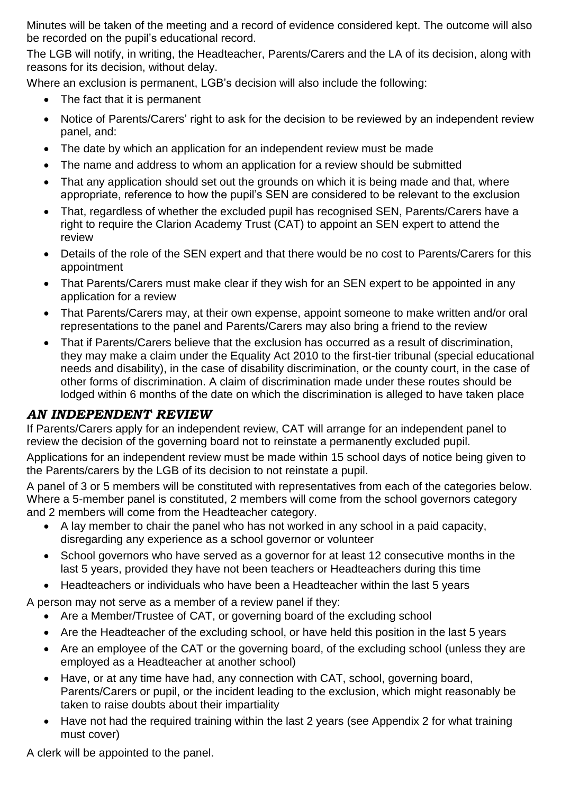Minutes will be taken of the meeting and a record of evidence considered kept. The outcome will also be recorded on the pupil's educational record.

The LGB will notify, in writing, the Headteacher, Parents/Carers and the LA of its decision, along with reasons for its decision, without delay.

Where an exclusion is permanent, LGB's decision will also include the following:

- The fact that it is permanent
- Notice of Parents/Carers' right to ask for the decision to be reviewed by an independent review panel, and:
- The date by which an application for an independent review must be made
- The name and address to whom an application for a review should be submitted
- That any application should set out the grounds on which it is being made and that, where appropriate, reference to how the pupil's SEN are considered to be relevant to the exclusion
- That, regardless of whether the excluded pupil has recognised SEN, Parents/Carers have a right to require the Clarion Academy Trust (CAT) to appoint an SEN expert to attend the review
- Details of the role of the SEN expert and that there would be no cost to Parents/Carers for this appointment
- That Parents/Carers must make clear if they wish for an SEN expert to be appointed in any application for a review
- That Parents/Carers may, at their own expense, appoint someone to make written and/or oral representations to the panel and Parents/Carers may also bring a friend to the review
- That if Parents/Carers believe that the exclusion has occurred as a result of discrimination, they may make a claim under the Equality Act 2010 to the first-tier tribunal (special educational needs and disability), in the case of disability discrimination, or the county court, in the case of other forms of discrimination. A claim of discrimination made under these routes should be lodged within 6 months of the date on which the discrimination is alleged to have taken place

## *AN INDEPENDENT REVIEW*

If Parents/Carers apply for an independent review, CAT will arrange for an independent panel to review the decision of the governing board not to reinstate a permanently excluded pupil.

Applications for an independent review must be made within 15 school days of notice being given to the Parents/carers by the LGB of its decision to not reinstate a pupil.

A panel of 3 or 5 members will be constituted with representatives from each of the categories below. Where a 5-member panel is constituted, 2 members will come from the school governors category and 2 members will come from the Headteacher category.

- A lay member to chair the panel who has not worked in any school in a paid capacity, disregarding any experience as a school governor or volunteer
- School governors who have served as a governor for at least 12 consecutive months in the last 5 years, provided they have not been teachers or Headteachers during this time
- Headteachers or individuals who have been a Headteacher within the last 5 years

A person may not serve as a member of a review panel if they:

- Are a Member/Trustee of CAT, or governing board of the excluding school
- Are the Headteacher of the excluding school, or have held this position in the last 5 years
- Are an employee of the CAT or the governing board, of the excluding school (unless they are employed as a Headteacher at another school)
- Have, or at any time have had, any connection with CAT, school, governing board, Parents/Carers or pupil, or the incident leading to the exclusion, which might reasonably be taken to raise doubts about their impartiality
- Have not had the required training within the last 2 years (see Appendix 2 for what training must cover)

A clerk will be appointed to the panel.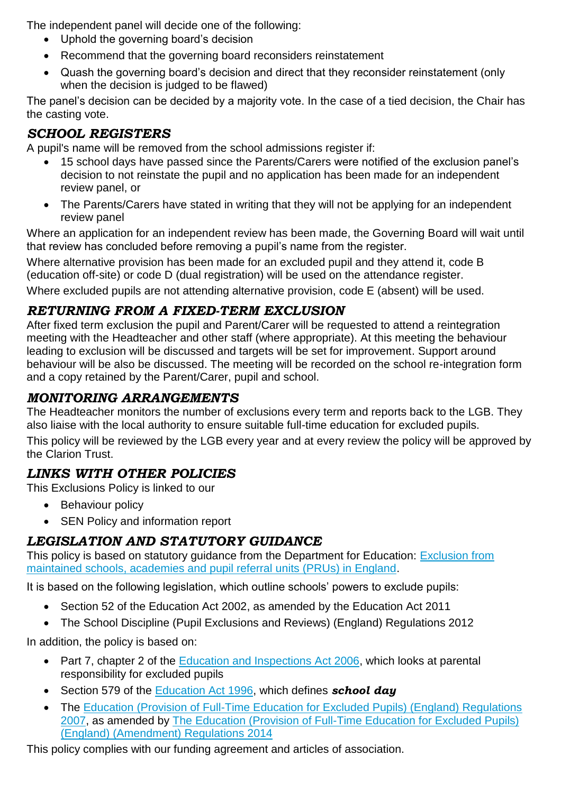The independent panel will decide one of the following:

- Uphold the governing board's decision
- Recommend that the governing board reconsiders reinstatement
- Quash the governing board's decision and direct that they reconsider reinstatement (only when the decision is judged to be flawed)

The panel's decision can be decided by a majority vote. In the case of a tied decision, the Chair has the casting vote.

# *SCHOOL REGISTERS*

A pupil's name will be removed from the school admissions register if:

- 15 school days have passed since the Parents/Carers were notified of the exclusion panel's decision to not reinstate the pupil and no application has been made for an independent review panel, or
- The Parents/Carers have stated in writing that they will not be applying for an independent review panel

Where an application for an independent review has been made, the Governing Board will wait until that review has concluded before removing a pupil's name from the register.

Where alternative provision has been made for an excluded pupil and they attend it, code B (education off-site) or code D (dual registration) will be used on the attendance register.

Where excluded pupils are not attending alternative provision, code E (absent) will be used.

## *RETURNING FROM A FIXED-TERM EXCLUSION*

After fixed term exclusion the pupil and Parent/Carer will be requested to attend a reintegration meeting with the Headteacher and other staff (where appropriate). At this meeting the behaviour leading to exclusion will be discussed and targets will be set for improvement. Support around behaviour will be also be discussed. The meeting will be recorded on the school re-integration form and a copy retained by the Parent/Carer, pupil and school.

## *MONITORING ARRANGEMENTS*

The Headteacher monitors the number of exclusions every term and reports back to the LGB. They also liaise with the local authority to ensure suitable full-time education for excluded pupils.

This policy will be reviewed by the LGB every year and at every review the policy will be approved by the Clarion Trust.

# *LINKS WITH OTHER POLICIES*

This Exclusions Policy is linked to our

- Behaviour policy
- SEN Policy and information report

## *LEGISLATION AND STATUTORY GUIDANCE*

This policy is based on statutory guidance from the Department for Education: Exclusion from [maintained schools, academies and pupil referral units \(PRUs\) in England.](https://www.gov.uk/government/publications/school-exclusion)

It is based on the following legislation, which outline schools' powers to exclude pupils:

- Section 52 of the [Education Act 2002,](http://www.legislation.gov.uk/ukpga/2002/32/section/52) as amended by the [Education Act 2011](http://www.legislation.gov.uk/ukpga/2011/21/contents/enacted)
- [The School Discipline \(Pupil Exclusions and Reviews\) \(England\) Regulations 2012](http://www.legislation.gov.uk/uksi/2012/1033/made)

In addition, the policy is based on:

- Part 7, chapter 2 of the **Education and Inspections Act 2006**, which looks at parental responsibility for excluded pupils
- Section 579 of the **Education Act 1996**, which defines **school day**
- The Education (Provision of Full-Time Education for Excluded Pupils) (England) Regulations [2007,](http://www.legislation.gov.uk/uksi/2007/1870/contents/made) as amended by [The Education \(Provision of Full-Time Education for Excluded Pupils\)](http://www.legislation.gov.uk/uksi/2014/3216/contents/made)  [\(England\) \(Amendment\) Regulations 2014](http://www.legislation.gov.uk/uksi/2014/3216/contents/made)

This policy complies with our funding agreement and articles of association.